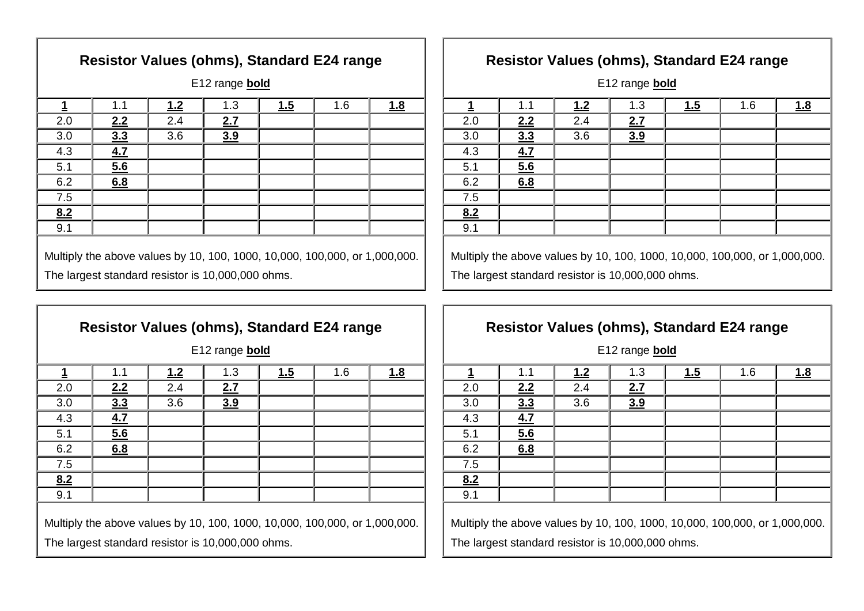| Resistor Values (ohms), Standard E24 range                                                                                      |     |     |     |     |     |            |
|---------------------------------------------------------------------------------------------------------------------------------|-----|-----|-----|-----|-----|------------|
| E12 range <b>bold</b>                                                                                                           |     |     |     |     |     |            |
| <u>1</u>                                                                                                                        | 1.1 | 1.2 | 1.3 | 1.5 | 1.6 | <u>1.8</u> |
| 2.0                                                                                                                             | 2.2 | 2.4 | 2.7 |     |     |            |
| 3.0                                                                                                                             | 3.3 | 3.6 | 3.9 |     |     |            |
| 4.3                                                                                                                             | 4.7 |     |     |     |     |            |
| 5.1                                                                                                                             | 5.6 |     |     |     |     |            |
| 6.2                                                                                                                             | 6.8 |     |     |     |     |            |
| 7.5                                                                                                                             |     |     |     |     |     |            |
| 8.2                                                                                                                             |     |     |     |     |     |            |
| 9.1                                                                                                                             |     |     |     |     |     |            |
| Multiply the above values by 10, 100, 1000, 10,000, 100,000, or 1,000,000.<br>The largest standard resistor is 10,000,000 ohms. |     |     |     |     |     |            |

| <b>Resistor Values (ohms), Standard E24 range</b>                                                                               |     |     |     |     |     |     |  |
|---------------------------------------------------------------------------------------------------------------------------------|-----|-----|-----|-----|-----|-----|--|
| E12 range bold                                                                                                                  |     |     |     |     |     |     |  |
| 1                                                                                                                               | 1.1 | 1.2 | 1.3 | 1.5 | 1.6 | 1.8 |  |
| 2.0                                                                                                                             | 2.2 | 2.4 | 2.7 |     |     |     |  |
| 3.0                                                                                                                             | 3.3 | 3.6 | 3.9 |     |     |     |  |
| 4.3                                                                                                                             | 4.7 |     |     |     |     |     |  |
| 5.1                                                                                                                             | 5.6 |     |     |     |     |     |  |
| 6.2                                                                                                                             | 6.8 |     |     |     |     |     |  |
| 7.5                                                                                                                             |     |     |     |     |     |     |  |
| 8.2                                                                                                                             |     |     |     |     |     |     |  |
| 9.1                                                                                                                             |     |     |     |     |     |     |  |
| Multiply the above values by 10, 100, 1000, 10,000, 100,000, or 1,000,000.<br>The largest standard resistor is 10,000,000 ohms. |     |     |     |     |     |     |  |

### **Resistor Values (ohms), Standard E24 range**

E12 range **bold**

|         | 1.1                       | 1.2 | 1.3           | 1.5 | 1.6 | 1.8 |
|---------|---------------------------|-----|---------------|-----|-----|-----|
| 2.0     | 2.2                       | 2.4 | 2.7<br>$\sim$ |     |     |     |
| 3.0     | $\frac{3\overline{3}}{2}$ | 3.6 | 3.9           |     |     |     |
| 4.3     | 4.7<br>_                  |     |               |     |     |     |
| $5.1$   | $\frac{5.6}{ }$           |     |               |     |     |     |
| 6.2     | 6.8                       |     |               |     |     |     |
| $7.5\,$ |                           |     |               |     |     |     |
| 8.2     |                           |     |               |     |     |     |
| 9.1     |                           |     |               |     |     |     |
|         |                           |     |               |     |     |     |

 Multiply the above values by 10, 100, 1000, 10,000, 100,000, or 1,000,000. The largest standard resistor is 10,000,000 ohms.

#### **Resistor Values (ohms), Standard E24 range**

E12 range **bold**

|     | 1.1                           | 1.2 | 1.3              | 1.5 | 1.6 | 1.8 |
|-----|-------------------------------|-----|------------------|-----|-----|-----|
| 2.0 | 2.2                           | 2.4 | <u>2.7</u>       |     |     |     |
| 3.0 | 3.3                           | 3.6 | $\overline{3.9}$ |     |     |     |
| 4.3 | $\frac{4.7}{4.7}$             |     |                  |     |     |     |
| 5.1 | $\underline{\underline{5.6}}$ |     |                  |     |     |     |
| 6.2 | 6.8                           |     |                  |     |     |     |
| 7.5 |                               |     |                  |     |     |     |
| 8.2 |                               |     |                  |     |     |     |
| 9.1 |                               |     |                  |     |     |     |
|     |                               |     |                  |     |     |     |

 Multiply the above values by 10, 100, 1000, 10,000, 100,000, or 1,000,000. The largest standard resistor is 10,000,000 ohms.